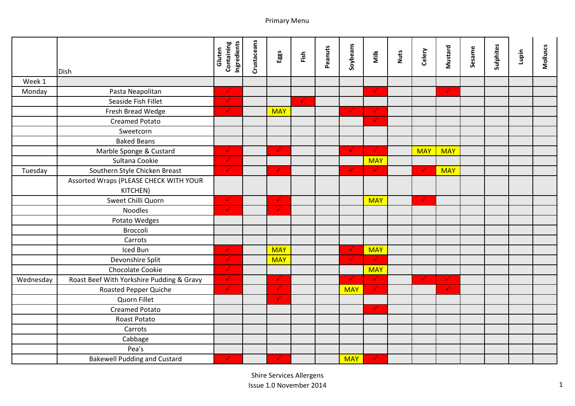|           |                                                    | Containing<br>Ingredients<br>Gluten | Crustaceans | Eggs         | Fish       | Peanuts | Soybeans     | Milk          | <b>Nuts</b> | Celery       | Mustard      | Sesame | Sulphites | Lupin | <b>Molluscs</b> |
|-----------|----------------------------------------------------|-------------------------------------|-------------|--------------|------------|---------|--------------|---------------|-------------|--------------|--------------|--------|-----------|-------|-----------------|
|           | <b>Dish</b>                                        |                                     |             |              |            |         |              |               |             |              |              |        |           |       |                 |
| Week 1    |                                                    |                                     |             |              |            |         |              |               |             |              |              |        |           |       |                 |
| Monday    | Pasta Neapolitan                                   | $\checkmark$                        |             |              |            |         |              | $\checkmark$  |             |              | $\checkmark$ |        |           |       |                 |
|           | Seaside Fish Fillet                                | $\checkmark$                        |             |              | $\sqrt{2}$ |         |              |               |             |              |              |        |           |       |                 |
|           | Fresh Bread Wedge                                  | $\checkmark$                        |             | <b>MAY</b>   |            |         | $\checkmark$ | $\checkmark$  |             |              |              |        |           |       |                 |
|           | <b>Creamed Potato</b>                              |                                     |             |              |            |         |              | $\checkmark$  |             |              |              |        |           |       |                 |
|           | Sweetcorn                                          |                                     |             |              |            |         |              |               |             |              |              |        |           |       |                 |
|           | <b>Baked Beans</b>                                 |                                     |             |              |            |         |              |               |             |              |              |        |           |       |                 |
|           | Marble Sponge & Custard                            | $\checkmark$                        |             | $\checkmark$ |            |         | $\checkmark$ | $\mathcal{A}$ |             | <b>MAY</b>   | <b>MAY</b>   |        |           |       |                 |
|           | Sultana Cookie                                     | $\checkmark$                        |             |              |            |         |              | <b>MAY</b>    |             |              |              |        |           |       |                 |
| Tuesday   | Southern Style Chicken Breast                      | $\sqrt{2}$                          |             | $\checkmark$ |            |         | $\checkmark$ | $\mathcal{L}$ |             | $\checkmark$ | <b>MAY</b>   |        |           |       |                 |
|           | Assorted Wraps (PLEASE CHECK WITH YOUR<br>KITCHEN) |                                     |             |              |            |         |              |               |             |              |              |        |           |       |                 |
|           | Sweet Chilli Quorn                                 | $\checkmark$                        |             | $\checkmark$ |            |         |              | <b>MAY</b>    |             | $\checkmark$ |              |        |           |       |                 |
|           | <b>Noodles</b>                                     | $\sqrt{2}$                          |             | $\checkmark$ |            |         |              |               |             |              |              |        |           |       |                 |
|           | Potato Wedges                                      |                                     |             |              |            |         |              |               |             |              |              |        |           |       |                 |
|           | Broccoli                                           |                                     |             |              |            |         |              |               |             |              |              |        |           |       |                 |
|           | Carrots                                            |                                     |             |              |            |         |              |               |             |              |              |        |           |       |                 |
|           | Iced Bun                                           | $\checkmark$                        |             | <b>MAY</b>   |            |         | $\checkmark$ | <b>MAY</b>    |             |              |              |        |           |       |                 |
|           | Devonshire Split                                   | ✓                                   |             | <b>MAY</b>   |            |         | $\checkmark$ | $\sqrt{2}$    |             |              |              |        |           |       |                 |
|           | Chocolate Cookie                                   | $\checkmark$                        |             |              |            |         |              | <b>MAY</b>    |             |              |              |        |           |       |                 |
| Wednesday | Roast Beef With Yorkshire Pudding & Gravy          | $\checkmark$                        |             | $\checkmark$ |            |         | $\checkmark$ | $\mathcal{L}$ |             | $\checkmark$ | $\checkmark$ |        |           |       |                 |
|           | <b>Roasted Pepper Quiche</b>                       | $\mathcal{L}$                       |             | $\checkmark$ |            |         | <b>MAY</b>   | $\sqrt{2}$    |             |              | $\checkmark$ |        |           |       |                 |
|           | Quorn Fillet                                       |                                     |             | $\checkmark$ |            |         |              |               |             |              |              |        |           |       |                 |
|           | <b>Creamed Potato</b>                              |                                     |             |              |            |         |              | $\checkmark$  |             |              |              |        |           |       |                 |
|           | Roast Potato                                       |                                     |             |              |            |         |              |               |             |              |              |        |           |       |                 |
|           | Carrots                                            |                                     |             |              |            |         |              |               |             |              |              |        |           |       |                 |
|           | Cabbage                                            |                                     |             |              |            |         |              |               |             |              |              |        |           |       |                 |
|           | Pea's                                              |                                     |             |              |            |         |              |               |             |              |              |        |           |       |                 |
|           | <b>Bakewell Pudding and Custard</b>                | $\checkmark$                        |             | ✓            |            |         | <b>MAY</b>   | $\mathcal{A}$ |             |              |              |        |           |       |                 |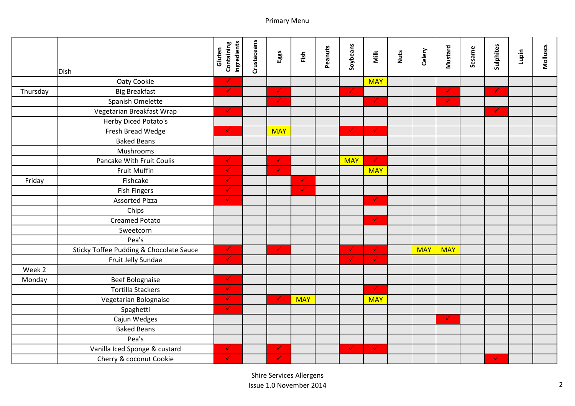|          |                                         | Containing<br>Ingredients | Crustaceans |              |              | Peanuts | Soybeans     |               |             |            | Mustard      | Sesame | Sulphites    |       | <b>Molluscs</b> |
|----------|-----------------------------------------|---------------------------|-------------|--------------|--------------|---------|--------------|---------------|-------------|------------|--------------|--------|--------------|-------|-----------------|
|          |                                         | Gluten                    |             | Eggs         | Fish         |         |              | Milk          | <b>Nuts</b> | Celery     |              |        |              | Lupin |                 |
|          | <b>Dish</b>                             |                           |             |              |              |         |              |               |             |            |              |        |              |       |                 |
|          | Oaty Cookie                             | $\checkmark$              |             |              |              |         |              | <b>MAY</b>    |             |            |              |        |              |       |                 |
| Thursday | <b>Big Breakfast</b>                    | $\checkmark$              |             | $\checkmark$ |              |         | $\checkmark$ |               |             |            | $\checkmark$ |        | $\checkmark$ |       |                 |
|          | Spanish Omelette                        |                           |             | $\checkmark$ |              |         |              | $\checkmark$  |             |            | $\checkmark$ |        |              |       |                 |
|          | Vegetarian Breakfast Wrap               | $\checkmark$              |             |              |              |         |              |               |             |            |              |        | $\checkmark$ |       |                 |
|          | Herby Diced Potato's                    |                           |             |              |              |         |              |               |             |            |              |        |              |       |                 |
|          | Fresh Bread Wedge                       | $\checkmark$              |             | <b>MAY</b>   |              |         | $\checkmark$ | $\mathcal{A}$ |             |            |              |        |              |       |                 |
|          | <b>Baked Beans</b>                      |                           |             |              |              |         |              |               |             |            |              |        |              |       |                 |
|          | Mushrooms                               |                           |             |              |              |         |              |               |             |            |              |        |              |       |                 |
|          | Pancake With Fruit Coulis               | $\checkmark$              |             | $\checkmark$ |              |         | <b>MAY</b>   | $\checkmark$  |             |            |              |        |              |       |                 |
|          | Fruit Muffin                            | $\checkmark$              |             | $\checkmark$ |              |         |              | <b>MAY</b>    |             |            |              |        |              |       |                 |
| Friday   | Fishcake                                | ✓                         |             |              |              |         |              |               |             |            |              |        |              |       |                 |
|          | <b>Fish Fingers</b>                     | $\checkmark$              |             |              | $\checkmark$ |         |              |               |             |            |              |        |              |       |                 |
|          | <b>Assorted Pizza</b>                   | $\checkmark$              |             |              |              |         |              | $\checkmark$  |             |            |              |        |              |       |                 |
|          | Chips                                   |                           |             |              |              |         |              |               |             |            |              |        |              |       |                 |
|          | <b>Creamed Potato</b>                   |                           |             |              |              |         |              | $\checkmark$  |             |            |              |        |              |       |                 |
|          | Sweetcorn                               |                           |             |              |              |         |              |               |             |            |              |        |              |       |                 |
|          | Pea's                                   |                           |             |              |              |         |              |               |             |            |              |        |              |       |                 |
|          | Sticky Toffee Pudding & Chocolate Sauce | $\checkmark$              |             | $\checkmark$ |              |         | $\checkmark$ | $\sqrt{2}$    |             | <b>MAY</b> | <b>MAY</b>   |        |              |       |                 |
|          | Fruit Jelly Sundae                      | ✓                         |             |              |              |         | $\checkmark$ | $\checkmark$  |             |            |              |        |              |       |                 |
| Week 2   |                                         |                           |             |              |              |         |              |               |             |            |              |        |              |       |                 |
| Monday   | <b>Beef Bolognaise</b>                  | $\checkmark$              |             |              |              |         |              |               |             |            |              |        |              |       |                 |
|          | <b>Tortilla Stackers</b>                | $\checkmark$              |             |              |              |         |              | $\sqrt{2}$    |             |            |              |        |              |       |                 |
|          | Vegetarian Bolognaise                   | ✓                         |             | $\checkmark$ | <b>MAY</b>   |         |              | <b>MAY</b>    |             |            |              |        |              |       |                 |
|          | Spaghetti                               | $\checkmark$ .            |             |              |              |         |              |               |             |            |              |        |              |       |                 |
|          | Cajun Wedges                            |                           |             |              |              |         |              |               |             |            | $\checkmark$ |        |              |       |                 |
|          | <b>Baked Beans</b>                      |                           |             |              |              |         |              |               |             |            |              |        |              |       |                 |
|          | Pea's                                   |                           |             |              |              |         |              |               |             |            |              |        |              |       |                 |
|          | Vanilla Iced Sponge & custard           | $\checkmark$              |             | $\checkmark$ |              |         | $\checkmark$ | $\sqrt{2}$    |             |            |              |        |              |       |                 |
|          | Cherry & coconut Cookie                 | $\checkmark$              |             | ✓            |              |         |              |               |             |            |              |        | $\checkmark$ |       |                 |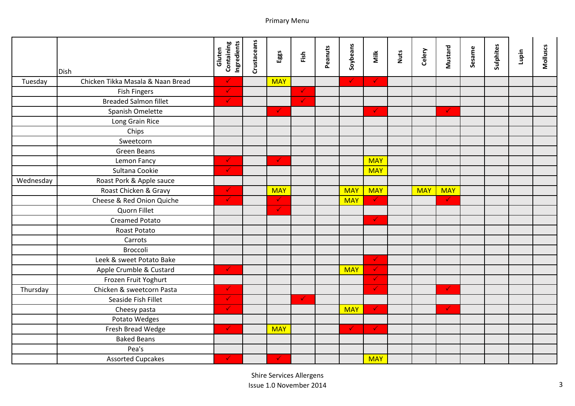|           |                                   | <b>Containing</b><br>Ingredients<br>Gluten | Crustaceans | Eggs         | Fish         | Peanuts | Soybeans     | Milk         | Nuts | Celery     | Mustard      | Sesame | Sulphites | Lupin | <b>Molluscs</b> |
|-----------|-----------------------------------|--------------------------------------------|-------------|--------------|--------------|---------|--------------|--------------|------|------------|--------------|--------|-----------|-------|-----------------|
|           | <b>Dish</b>                       |                                            |             |              |              |         |              |              |      |            |              |        |           |       |                 |
| Tuesday   | Chicken Tikka Masala & Naan Bread | $\checkmark$                               |             | <b>MAY</b>   |              |         | $\checkmark$ | $\checkmark$ |      |            |              |        |           |       |                 |
|           | <b>Fish Fingers</b>               | $\blacklozenge$                            |             |              | ◆            |         |              |              |      |            |              |        |           |       |                 |
|           | <b>Breaded Salmon fillet</b>      | $\checkmark$                               |             |              | $\checkmark$ |         |              |              |      |            |              |        |           |       |                 |
|           | Spanish Omelette                  |                                            |             | $\checkmark$ |              |         |              | $\checkmark$ |      |            | $\checkmark$ |        |           |       |                 |
|           | Long Grain Rice                   |                                            |             |              |              |         |              |              |      |            |              |        |           |       |                 |
|           | Chips                             |                                            |             |              |              |         |              |              |      |            |              |        |           |       |                 |
|           | Sweetcorn                         |                                            |             |              |              |         |              |              |      |            |              |        |           |       |                 |
|           | <b>Green Beans</b>                |                                            |             |              |              |         |              |              |      |            |              |        |           |       |                 |
|           | Lemon Fancy                       | $\checkmark$                               |             | $\checkmark$ |              |         |              | <b>MAY</b>   |      |            |              |        |           |       |                 |
|           | Sultana Cookie                    | $\checkmark$                               |             |              |              |         |              | <b>MAY</b>   |      |            |              |        |           |       |                 |
| Wednesday | Roast Pork & Apple sauce          |                                            |             |              |              |         |              |              |      |            |              |        |           |       |                 |
|           | Roast Chicken & Gravy             | $\checkmark$                               |             | <b>MAY</b>   |              |         | <b>MAY</b>   | <b>MAY</b>   |      | <b>MAY</b> | <b>MAY</b>   |        |           |       |                 |
|           | Cheese & Red Onion Quiche         | $\checkmark$                               |             | $\checkmark$ |              |         | <b>MAY</b>   | $\checkmark$ |      |            | $\checkmark$ |        |           |       |                 |
|           | Quorn Fillet                      |                                            |             | $\checkmark$ |              |         |              |              |      |            |              |        |           |       |                 |
|           | <b>Creamed Potato</b>             |                                            |             |              |              |         |              | $\checkmark$ |      |            |              |        |           |       |                 |
|           | Roast Potato                      |                                            |             |              |              |         |              |              |      |            |              |        |           |       |                 |
|           | Carrots                           |                                            |             |              |              |         |              |              |      |            |              |        |           |       |                 |
|           | Broccoli                          |                                            |             |              |              |         |              |              |      |            |              |        |           |       |                 |
|           | Leek & sweet Potato Bake          |                                            |             |              |              |         |              | $\checkmark$ |      |            |              |        |           |       |                 |
|           | Apple Crumble & Custard           | $\checkmark$                               |             |              |              |         | <b>MAY</b>   | $\checkmark$ |      |            |              |        |           |       |                 |
|           | Frozen Fruit Yoghurt              |                                            |             |              |              |         |              | $\checkmark$ |      |            |              |        |           |       |                 |
| Thursday  | Chicken & sweetcorn Pasta         | $\checkmark$                               |             |              |              |         |              | $\checkmark$ |      |            | $\checkmark$ |        |           |       |                 |
|           | Seaside Fish Fillet               | ✓                                          |             |              | $\checkmark$ |         |              |              |      |            |              |        |           |       |                 |
|           | Cheesy pasta                      | ◆                                          |             |              |              |         | <b>MAY</b>   | $\checkmark$ |      |            | $\checkmark$ |        |           |       |                 |
|           | Potato Wedges                     |                                            |             |              |              |         |              |              |      |            |              |        |           |       |                 |
|           | Fresh Bread Wedge                 | $\checkmark$                               |             | <b>MAY</b>   |              |         | $\checkmark$ | $\bullet$    |      |            |              |        |           |       |                 |
|           | <b>Baked Beans</b>                |                                            |             |              |              |         |              |              |      |            |              |        |           |       |                 |
|           | Pea's                             |                                            |             |              |              |         |              |              |      |            |              |        |           |       |                 |
|           | <b>Assorted Cupcakes</b>          | $\checkmark$                               |             | ✓            |              |         |              | <b>MAY</b>   |      |            |              |        |           |       |                 |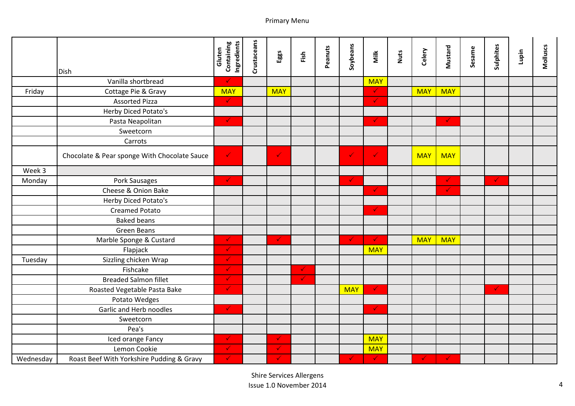|           |                                              | Containing<br>Ingredients<br>Gluten | Crustaceans | Eggs         | Fish         | Peanuts | Soybeans     | Milk         | Nuts | Celery       | Mustard      | Sesame | Sulphites    | Lupin | Molluscs |
|-----------|----------------------------------------------|-------------------------------------|-------------|--------------|--------------|---------|--------------|--------------|------|--------------|--------------|--------|--------------|-------|----------|
|           | <b>Dish</b>                                  |                                     |             |              |              |         |              |              |      |              |              |        |              |       |          |
|           | Vanilla shortbread                           | $\checkmark$                        |             |              |              |         |              | <b>MAY</b>   |      |              |              |        |              |       |          |
| Friday    | Cottage Pie & Gravy                          | <b>MAY</b>                          |             | <b>MAY</b>   |              |         |              | $\checkmark$ |      | <b>MAY</b>   | <b>MAY</b>   |        |              |       |          |
|           | <b>Assorted Pizza</b>                        | $\checkmark$                        |             |              |              |         |              | $\checkmark$ |      |              |              |        |              |       |          |
|           | Herby Diced Potato's                         |                                     |             |              |              |         |              |              |      |              |              |        |              |       |          |
|           | Pasta Neapolitan                             | $\checkmark$                        |             |              |              |         |              | $\checkmark$ |      |              | $\checkmark$ |        |              |       |          |
|           | Sweetcorn                                    |                                     |             |              |              |         |              |              |      |              |              |        |              |       |          |
|           | Carrots                                      |                                     |             |              |              |         |              |              |      |              |              |        |              |       |          |
|           | Chocolate & Pear sponge With Chocolate Sauce | $\checkmark$                        |             | $\checkmark$ |              |         | $\checkmark$ | $\checkmark$ |      | <b>MAY</b>   | <b>MAY</b>   |        |              |       |          |
| Week 3    |                                              |                                     |             |              |              |         |              |              |      |              |              |        |              |       |          |
| Monday    | Pork Sausages                                | $\checkmark$                        |             |              |              |         | $\checkmark$ |              |      |              | $\checkmark$ |        | $\checkmark$ |       |          |
|           | Cheese & Onion Bake                          |                                     |             |              |              |         |              | $\checkmark$ |      |              | $\checkmark$ |        |              |       |          |
|           | Herby Diced Potato's                         |                                     |             |              |              |         |              |              |      |              |              |        |              |       |          |
|           | <b>Creamed Potato</b>                        |                                     |             |              |              |         |              | $\checkmark$ |      |              |              |        |              |       |          |
|           | <b>Baked beans</b>                           |                                     |             |              |              |         |              |              |      |              |              |        |              |       |          |
|           | <b>Green Beans</b>                           |                                     |             |              |              |         |              |              |      |              |              |        |              |       |          |
|           | Marble Sponge & Custard                      | $\checkmark$                        |             | $\checkmark$ |              |         | $\checkmark$ | $\checkmark$ |      | <b>MAY</b>   | <b>MAY</b>   |        |              |       |          |
|           | Flapjack                                     | $\checkmark$                        |             |              |              |         |              | <b>MAY</b>   |      |              |              |        |              |       |          |
| Tuesday   | Sizzling chicken Wrap                        | ✓                                   |             |              |              |         |              |              |      |              |              |        |              |       |          |
|           | Fishcake                                     | $\checkmark$                        |             |              | $\checkmark$ |         |              |              |      |              |              |        |              |       |          |
|           | <b>Breaded Salmon fillet</b>                 | $\checkmark$                        |             |              | $\checkmark$ |         |              |              |      |              |              |        |              |       |          |
|           | Roasted Vegetable Pasta Bake                 | $\checkmark$                        |             |              |              |         | <b>MAY</b>   | $\checkmark$ |      |              |              |        | $\checkmark$ |       |          |
|           | Potato Wedges                                |                                     |             |              |              |         |              |              |      |              |              |        |              |       |          |
|           | Garlic and Herb noodles                      | $\checkmark$                        |             |              |              |         |              | $\checkmark$ |      |              |              |        |              |       |          |
|           | Sweetcorn                                    |                                     |             |              |              |         |              |              |      |              |              |        |              |       |          |
|           | Pea's                                        |                                     |             |              |              |         |              |              |      |              |              |        |              |       |          |
|           | Iced orange Fancy                            | $\checkmark$                        |             | $\checkmark$ |              |         |              | <b>MAY</b>   |      |              |              |        |              |       |          |
|           | Lemon Cookie                                 | $\checkmark$                        |             | ✓            |              |         |              | <b>MAY</b>   |      |              |              |        |              |       |          |
| Wednesday | Roast Beef With Yorkshire Pudding & Gravy    | $\checkmark$                        |             | ✓            |              |         | $\checkmark$ | $\checkmark$ |      | $\checkmark$ | $\checkmark$ |        |              |       |          |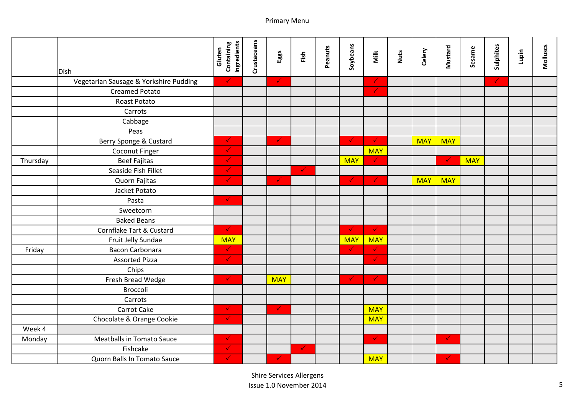|          |                                        | Containing<br>Ingredients | Crustaceans |              |              |         | Soybeans     |               |      |            | Mustard      |            | Sulphites    |       |          |
|----------|----------------------------------------|---------------------------|-------------|--------------|--------------|---------|--------------|---------------|------|------------|--------------|------------|--------------|-------|----------|
|          |                                        | Gluten                    |             | Eggs         | Fish         | Peanuts |              | Milk          | Nuts | Celery     |              | Sesame     |              | Lupin | Molluscs |
|          | <b>Dish</b>                            |                           |             |              |              |         |              |               |      |            |              |            |              |       |          |
|          | Vegetarian Sausage & Yorkshire Pudding | $\checkmark$              |             | $\checkmark$ |              |         |              | $\checkmark$  |      |            |              |            | $\checkmark$ |       |          |
|          | <b>Creamed Potato</b>                  |                           |             |              |              |         |              | $\checkmark$  |      |            |              |            |              |       |          |
|          | Roast Potato                           |                           |             |              |              |         |              |               |      |            |              |            |              |       |          |
|          | Carrots                                |                           |             |              |              |         |              |               |      |            |              |            |              |       |          |
|          | Cabbage                                |                           |             |              |              |         |              |               |      |            |              |            |              |       |          |
|          | Peas                                   |                           |             |              |              |         |              |               |      |            |              |            |              |       |          |
|          | Berry Sponge & Custard                 | $\checkmark$              |             | $\checkmark$ |              |         | $\checkmark$ | $\mathcal{A}$ |      | <b>MAY</b> | <b>MAY</b>   |            |              |       |          |
|          | Coconut Finger                         | $\checkmark$              |             |              |              |         |              | <b>MAY</b>    |      |            |              |            |              |       |          |
| Thursday | <b>Beef Fajitas</b>                    | $\checkmark$              |             |              |              |         | <b>MAY</b>   | $\checkmark$  |      |            | $\checkmark$ | <b>MAY</b> |              |       |          |
|          | Seaside Fish Fillet                    | $\checkmark$              |             |              | $\sqrt{2}$   |         |              |               |      |            |              |            |              |       |          |
|          | Quorn Fajitas                          | ✓                         |             | $\checkmark$ |              |         | $\checkmark$ | $\checkmark$  |      | <b>MAY</b> | <b>MAY</b>   |            |              |       |          |
|          | Jacket Potato                          |                           |             |              |              |         |              |               |      |            |              |            |              |       |          |
|          | Pasta                                  | $\checkmark$              |             |              |              |         |              |               |      |            |              |            |              |       |          |
|          | Sweetcorn                              |                           |             |              |              |         |              |               |      |            |              |            |              |       |          |
|          | <b>Baked Beans</b>                     |                           |             |              |              |         |              |               |      |            |              |            |              |       |          |
|          | Cornflake Tart & Custard               | $\checkmark$              |             |              |              |         | $\checkmark$ | $\mathcal{L}$ |      |            |              |            |              |       |          |
|          | Fruit Jelly Sundae                     | <b>MAY</b>                |             |              |              |         | <b>MAY</b>   | <b>MAY</b>    |      |            |              |            |              |       |          |
| Friday   | <b>Bacon Carbonara</b>                 | $\checkmark$              |             |              |              |         | $\checkmark$ | $\checkmark$  |      |            |              |            |              |       |          |
|          | <b>Assorted Pizza</b>                  | $\checkmark$              |             |              |              |         |              | $\checkmark$  |      |            |              |            |              |       |          |
|          | Chips                                  |                           |             |              |              |         |              |               |      |            |              |            |              |       |          |
|          | Fresh Bread Wedge                      | $\checkmark$              |             | <b>MAY</b>   |              |         | $\checkmark$ | $\sqrt{2}$    |      |            |              |            |              |       |          |
|          | Broccoli                               |                           |             |              |              |         |              |               |      |            |              |            |              |       |          |
|          | Carrots                                |                           |             |              |              |         |              |               |      |            |              |            |              |       |          |
|          | Carrot Cake                            | $\checkmark$              |             | ◆            |              |         |              | <b>MAY</b>    |      |            |              |            |              |       |          |
|          | Chocolate & Orange Cookie              | $\checkmark$              |             |              |              |         |              | <b>MAY</b>    |      |            |              |            |              |       |          |
| Week 4   |                                        |                           |             |              |              |         |              |               |      |            |              |            |              |       |          |
| Monday   | <b>Meatballs in Tomato Sauce</b>       | $\checkmark$              |             |              |              |         |              | $\checkmark$  |      |            | $\checkmark$ |            |              |       |          |
|          | Fishcake                               | $\checkmark$              |             |              | $\checkmark$ |         |              |               |      |            |              |            |              |       |          |
|          | Quorn Balls In Tomato Sauce            | $\checkmark$              |             | $\checkmark$ |              |         |              | <b>MAY</b>    |      |            | $\checkmark$ |            |              |       |          |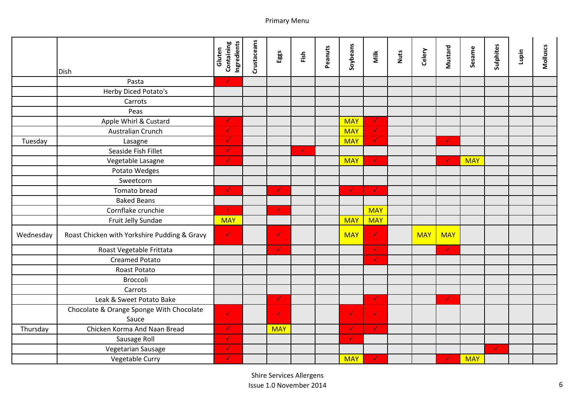|           |                                              | Containing<br>Ingredients    | Crustaceans |              |              |         |              |              |      |            |              |            | Sulphites    |       |          |
|-----------|----------------------------------------------|------------------------------|-------------|--------------|--------------|---------|--------------|--------------|------|------------|--------------|------------|--------------|-------|----------|
|           |                                              | Gluten                       |             | Eggs         | Fish         | Peanuts | Soybeans     | Milk         | Nuts | Celery     | Mustard      | Sesame     |              | Lupin | Molluscs |
|           | <b>Dish</b>                                  |                              |             |              |              |         |              |              |      |            |              |            |              |       |          |
|           | Pasta                                        | $\checkmark$                 |             |              |              |         |              |              |      |            |              |            |              |       |          |
|           | Herby Diced Potato's                         |                              |             |              |              |         |              |              |      |            |              |            |              |       |          |
|           | Carrots                                      |                              |             |              |              |         |              |              |      |            |              |            |              |       |          |
|           | Peas                                         |                              |             |              |              |         |              |              |      |            |              |            |              |       |          |
|           | Apple Whirl & Custard                        | $\checkmark$                 |             |              |              |         | <b>MAY</b>   | ◆            |      |            |              |            |              |       |          |
|           | Australian Crunch                            | $\checkmark$                 |             |              |              |         | <b>MAY</b>   | $\checkmark$ |      |            |              |            |              |       |          |
| Tuesday   | Lasagne                                      | $\checkmark$                 |             |              |              |         | <b>MAY</b>   | $\checkmark$ |      |            | $\checkmark$ |            |              |       |          |
|           | Seaside Fish Fillet                          | $\checkmark$                 |             |              | $\checkmark$ |         |              |              |      |            |              |            |              |       |          |
|           | Vegetable Lasagne                            | $\checkmark$                 |             |              |              |         | <b>MAY</b>   | $\checkmark$ |      |            | $\checkmark$ | <b>MAY</b> |              |       |          |
|           | Potato Wedges                                |                              |             |              |              |         |              |              |      |            |              |            |              |       |          |
|           | Sweetcorn                                    |                              |             |              |              |         |              |              |      |            |              |            |              |       |          |
|           | Tomato bread                                 | $\checkmark$                 |             | $\checkmark$ |              |         | $\checkmark$ | $\checkmark$ |      |            |              |            |              |       |          |
|           | <b>Baked Beans</b>                           |                              |             |              |              |         |              |              |      |            |              |            |              |       |          |
|           | Cornflake crunchie                           | $\checkmark$                 |             | $\checkmark$ |              |         |              | <b>MAY</b>   |      |            |              |            |              |       |          |
|           | Fruit Jelly Sundae                           | <b>MAY</b>                   |             |              |              |         | <b>MAY</b>   | <b>MAY</b>   |      |            |              |            |              |       |          |
| Wednesday | Roast Chicken with Yorkshire Pudding & Gravy | $\checkmark$                 |             | $\checkmark$ |              |         | <b>MAY</b>   | $\checkmark$ |      | <b>MAY</b> | <b>MAY</b>   |            |              |       |          |
|           | Roast Vegetable Frittata                     |                              |             | $\checkmark$ |              |         |              | $\checkmark$ |      |            | $\checkmark$ |            |              |       |          |
|           | <b>Creamed Potato</b>                        |                              |             |              |              |         |              | ✓            |      |            |              |            |              |       |          |
|           | Roast Potato                                 |                              |             |              |              |         |              |              |      |            |              |            |              |       |          |
|           | Broccoli                                     |                              |             |              |              |         |              |              |      |            |              |            |              |       |          |
|           | Carrots                                      |                              |             |              |              |         |              |              |      |            |              |            |              |       |          |
|           | Leak & Sweet Potato Bake                     |                              |             | $\checkmark$ |              |         |              | ✓            |      |            | $\checkmark$ |            |              |       |          |
|           | Chocolate & Orange Sponge With Chocolate     | $\checkmark$                 |             | $\checkmark$ |              |         | $\checkmark$ |              |      |            |              |            |              |       |          |
|           | Sauce                                        | $\checkmark$                 |             |              |              |         | $\checkmark$ | $\checkmark$ |      |            |              |            |              |       |          |
| Thursday  | Chicken Korma And Naan Bread                 |                              |             | <b>MAY</b>   |              |         |              |              |      |            |              |            |              |       |          |
|           | Sausage Roll                                 | $\checkmark$<br>$\checkmark$ |             |              |              |         | $\checkmark$ |              |      |            |              |            | $\checkmark$ |       |          |
|           | Vegetarian Sausage<br>Vegetable Curry        | $\checkmark$                 |             |              |              |         | <b>MAY</b>   | $\checkmark$ |      |            | ✓            | <b>MAY</b> |              |       |          |